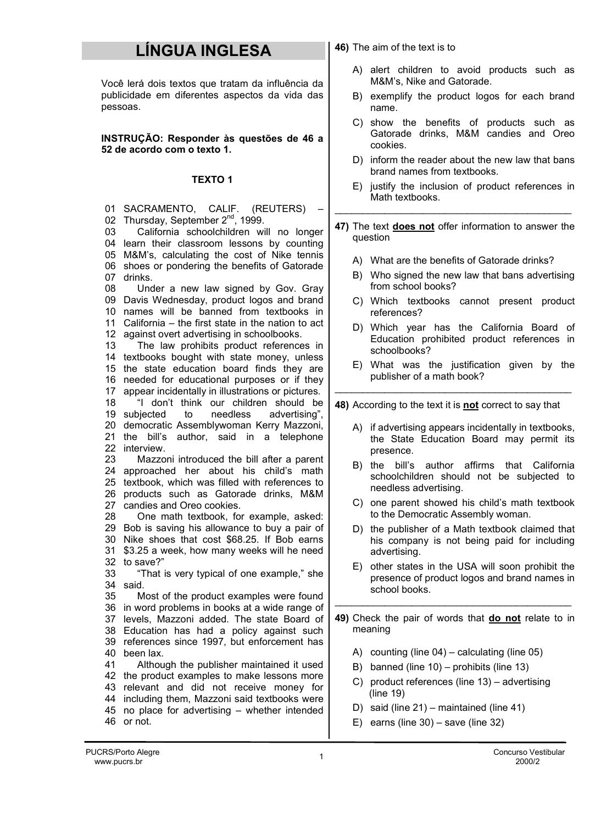## LÍNGUA INGLESA

Você lerá dois textos que tratam da influência da publicidade em diferentes aspectos da vida das pessoas.

INSTRUÇÃO: Responder às questões de 46 a 52 de acordo com o texto 1.

## TEXTO 1

- 01 SACRAMENTO, CALIF. (REUTERS) 02 Thursday, September 2<sup>nd</sup>, 1999. 03 04 learn their classroom lessons by counting 05 M&M's, calculating the cost of Nike tennis 06 shoes or pondering the benefits of Gatorade 07 drinks. 08 09 Davis Wednesday, product logos and brand 10 names will be banned from textbooks in 11 California – the first state in the nation to act 12 against overt advertising in schoolbooks. 13 14 textbooks bought with state money, unless 15 the state education board finds they are 16 needed for educational purposes or if they 17 appear incidentally in illustrations or pictures. 18 19 subjected 20 democratic Assemblywoman Kerry Mazzoni, 21 the bill's author, said in a telephone 22 interview. 23 24 approached her about his child's math 25 textbook, which was filled with references to 26 products such as Gatorade drinks, M&M 27 candies and Oreo cookies. 28 29 Bob is saving his allowance to buy a pair of 30 Nike shoes that cost \$68.25. If Bob earns 31 \$3.25 a week, how many weeks will he need 32 to save?" 33 34 said. 35 36 in word problems in books at a wide range of California schoolchildren will no longer Under a new law signed by Gov. Gray The law prohibits product references in "I don't think our children should be to needless advertising", Mazzoni introduced the bill after a parent One math textbook, for example, asked: "That is very typical of one example," she Most of the product examples were found \_\_\_\_\_\_\_\_\_\_\_\_\_\_\_\_\_\_\_\_\_\_\_\_\_\_\_\_\_\_\_\_\_\_\_\_\_\_\_\_\_\_\_ \_\_\_\_\_\_\_\_\_\_\_\_\_\_\_\_\_\_\_\_\_\_\_\_\_\_\_\_\_\_\_\_\_\_\_\_\_\_\_\_\_\_\_ \_\_\_\_\_\_\_\_\_\_\_\_\_\_\_\_\_\_\_\_\_\_\_\_\_\_\_\_\_\_\_\_\_\_\_\_\_\_\_\_\_\_\_
- 37 levels, Mazzoni added. The state Board of 38 Education has had a policy against such 39 references since 1997, but enforcement has 40 been lax.
- 41 42 the product examples to make lessons more 43 relevant and did not receive money for 44 including them, Mazzoni said textbooks were 45 no place for advertising – whether intended 46 or not. Although the publisher maintained it used
- 46) The aim of the text is to
	- A) alert children to avoid products such as M&M's, Nike and Gatorade.
	- B) exemplify the product logos for each brand name.
	- C) show the benefits of products such as Gatorade drinks, M&M candies and Oreo cookies.
	- D) inform the reader about the new law that bans brand names from textbooks.
	- E) justify the inclusion of product references in Math textbooks.
- 47) The text does not offer information to answer the question
	- A) What are the benefits of Gatorade drinks?
	- B) Who signed the new law that bans advertising from school books?
	- C) Which textbooks cannot present product references?
	- D) Which year has the California Board of Education prohibited product references in schoolbooks?
	- E) What was the justification given by the publisher of a math book?

48) According to the text it is not correct to say that

- A) if advertising appears incidentally in textbooks, the State Education Board may permit its presence.
- B) the bill's author affirms that California schoolchildren should not be subjected to needless advertising.
- C) one parent showed his child's math textbook to the Democratic Assembly woman.
- D) the publisher of a Math textbook claimed that his company is not being paid for including advertising.
- E) other states in the USA will soon prohibit the presence of product logos and brand names in school books.
- 49) Check the pair of words that do not relate to in meaning
	- A) counting (line 04) calculating (line 05)
	- B) banned (line 10) prohibits (line 13)
	- C) product references (line 13) advertising (line 19)
	- D) said (line 21) maintained (line 41)
	- E) earns (line  $30$ ) save (line  $32$ )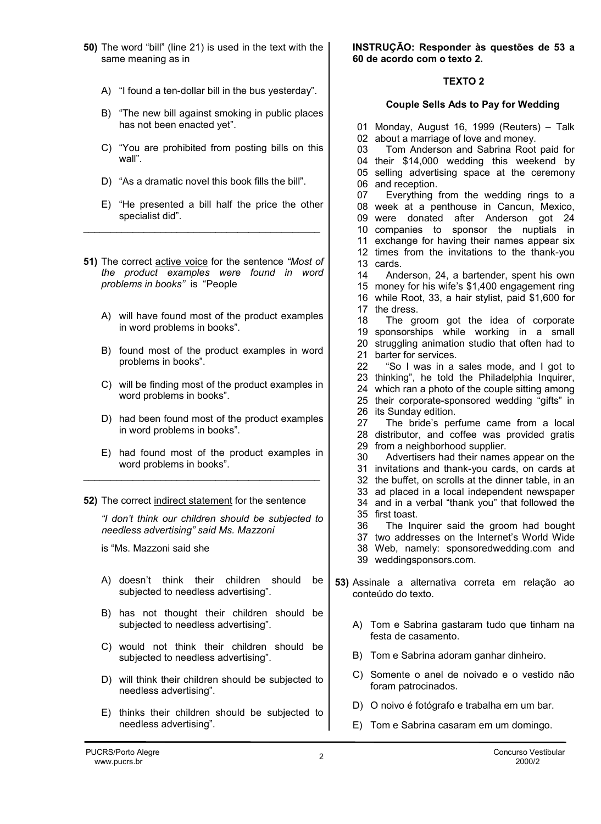- 50) The word "bill" (line 21) is used in the text with the same meaning as in
	- A) "I found a ten-dollar bill in the bus yesterday".
	- B) "The new bill against smoking in public places has not been enacted yet".
	- C) "You are prohibited from posting bills on this wall".
	- D) "As a dramatic novel this book fills the bill".

\_\_\_\_\_\_\_\_\_\_\_\_\_\_\_\_\_\_\_\_\_\_\_\_\_\_\_\_\_\_\_\_\_\_\_\_\_\_\_\_\_\_\_

- E) "He presented a bill half the price the other specialist did".
- 51) The correct active voice for the sentence "Most of the product examples were found in word problems in books" is "People
	- A) will have found most of the product examples in word problems in books".
	- B) found most of the product examples in word problems in books".
	- C) will be finding most of the product examples in word problems in books".
	- D) had been found most of the product examples in word problems in books".
	- E) had found most of the product examples in word problems in books".

\_\_\_\_\_\_\_\_\_\_\_\_\_\_\_\_\_\_\_\_\_\_\_\_\_\_\_\_\_\_\_\_\_\_\_\_\_\_\_\_\_\_\_

52) The correct indirect statement for the sentence

"I don't think our children should be subjected to needless advertising" said Ms. Mazzoni

- is "Ms. Mazzoni said she
- A) doesn't think their children should be subjected to needless advertising".
- B) has not thought their children should be subjected to needless advertising".
- C) would not think their children should be subjected to needless advertising".
- D) will think their children should be subjected to needless advertising".
- E) thinks their children should be subjected to needless advertising".

INSTRUÇÃO: Responder às questões de 53 a 60 de acordo com o texto 2.

## TEXTO 2

## Couple Sells Ads to Pay for Wedding

01 Monday, August 16, 1999 (Reuters) – Talk 02 about a marriage of love and money. 03 04 their \$14,000 wedding this weekend by 05 selling advertising space at the ceremony 06 and reception. 07 08 week at a penthouse in Cancun, Mexico, 09 were donated after Anderson got 24 10 companies to sponsor the nuptials in 11 exchange for having their names appear six 12 times from the invitations to the thank-you 13 cards. 14 15 money for his wife's \$1,400 engagement ring 16 while Root, 33, a hair stylist, paid \$1,600 for 17 the dress. 18 19 sponsorships while working in a small 20 struggling animation studio that often had to 21 barter for services. 22 23 thinking", he told the Philadelphia Inquirer, 24 which ran a photo of the couple sitting among 25 their corporate-sponsored wedding "gifts" in 26 its Sunday edition. 27 28 distributor, and coffee was provided gratis 29 from a neighborhood supplier. 30 31 invitations and thank-you cards, on cards at 32 the buffet, on scrolls at the dinner table, in an 33 ad placed in a local independent newspaper 34 and in a verbal "thank you" that followed the 35 first toast. 36 37 two addresses on the Internet's World Wide 38 Web, namely: sponsoredwedding.com and 39 weddingsponsors.com. Tom Anderson and Sabrina Root paid for Everything from the wedding rings to a Anderson, 24, a bartender, spent his own The groom got the idea of corporate "So I was in a sales mode, and I got to The bride's perfume came from a local Advertisers had their names appear on the The Inquirer said the groom had bought 53) Assinale a alternativa correta em relação ao conteúdo do texto. A) Tom e Sabrina gastaram tudo que tinham na festa de casamento. B) Tom e Sabrina adoram ganhar dinheiro. C) Somente o anel de noivado e o vestido não

- foram patrocinados.
- D) O noivo é fotógrafo e trabalha em um bar.
- E) Tom e Sabrina casaram em um domingo.